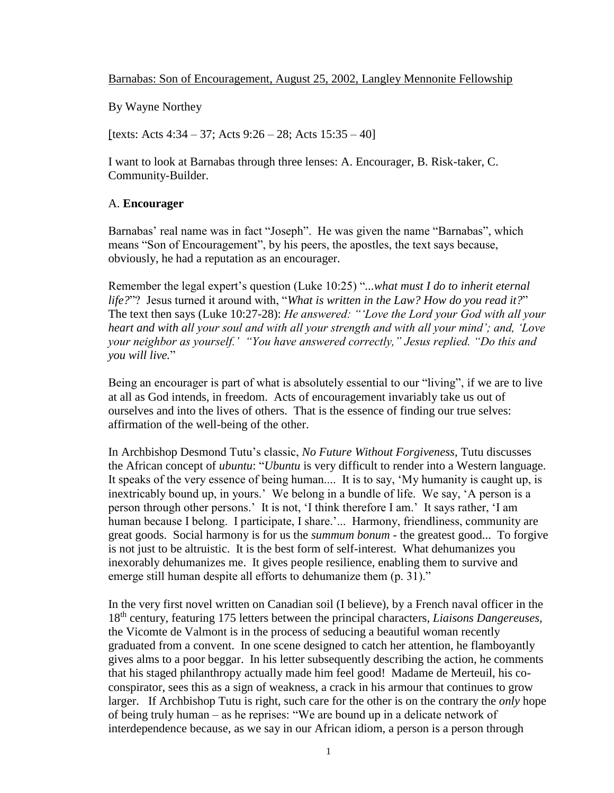Barnabas: Son of Encouragement, August 25, 2002, Langley Mennonite Fellowship

By Wayne Northey

[texts: Acts  $4:34 - 37$ ; Acts  $9:26 - 28$ ; Acts  $15:35 - 40$ ]

I want to look at Barnabas through three lenses: A. Encourager, B. Risk-taker, C. Community-Builder.

# A. **Encourager**

Barnabas' real name was in fact "Joseph". He was given the name "Barnabas", which means "Son of Encouragement", by his peers, the apostles, the text says because, obviously, he had a reputation as an encourager.

Remember the legal expert's question (Luke 10:25) "*...what must I do to inherit eternal life?*"? Jesus turned it around with, "*What is written in the Law? How do you read it?*" The text then says (Luke 10:27-28): *He answered: "'Love the Lord your God with all your heart and with all your soul and with all your strength and with all your mind'; and, 'Love your neighbor as yourself.' "You have answered correctly," Jesus replied. "Do this and you will live.*"

Being an encourager is part of what is absolutely essential to our "living", if we are to live at all as God intends, in freedom. Acts of encouragement invariably take us out of ourselves and into the lives of others. That is the essence of finding our true selves: affirmation of the well-being of the other.

In Archbishop Desmond Tutu's classic, *No Future Without Forgiveness*, Tutu discusses the African concept of *ubuntu*: "*Ubuntu* is very difficult to render into a Western language. It speaks of the very essence of being human.... It is to say, 'My humanity is caught up, is inextricably bound up, in yours.' We belong in a bundle of life. We say, 'A person is a person through other persons.' It is not, 'I think therefore I am.' It says rather, 'I am human because I belong. I participate, I share.'... Harmony, friendliness, community are great goods. Social harmony is for us the *summum bonum* - the greatest good... To forgive is not just to be altruistic. It is the best form of self-interest. What dehumanizes you inexorably dehumanizes me. It gives people resilience, enabling them to survive and emerge still human despite all efforts to dehumanize them (p. 31)."

In the very first novel written on Canadian soil (I believe), by a French naval officer in the 18th century, featuring 175 letters between the principal characters, *Liaisons Dangereuses,*  the Vicomte de Valmont is in the process of seducing a beautiful woman recently graduated from a convent. In one scene designed to catch her attention, he flamboyantly gives alms to a poor beggar. In his letter subsequently describing the action, he comments that his staged philanthropy actually made him feel good! Madame de Merteuil, his coconspirator, sees this as a sign of weakness, a crack in his armour that continues to grow larger. If Archbishop Tutu is right, such care for the other is on the contrary the *only* hope of being truly human – as he reprises: "We are bound up in a delicate network of interdependence because, as we say in our African idiom, a person is a person through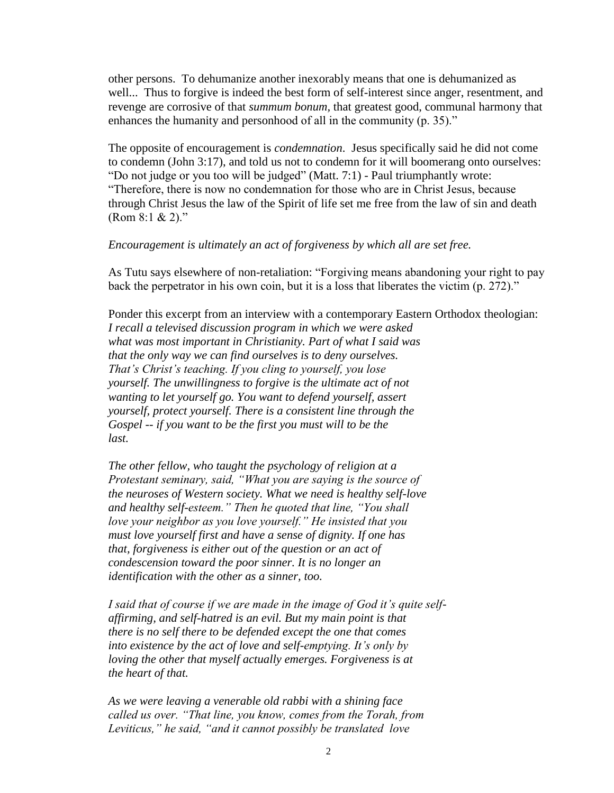other persons. To dehumanize another inexorably means that one is dehumanized as well... Thus to forgive is indeed the best form of self-interest since anger, resentment, and revenge are corrosive of that *summum bonum,* that greatest good, communal harmony that enhances the humanity and personhood of all in the community (p. 35)."

The opposite of encouragement is *condemnation*. Jesus specifically said he did not come to condemn (John 3:17), and told us not to condemn for it will boomerang onto ourselves: "Do not judge or you too will be judged" (Matt. 7:1) - Paul triumphantly wrote: "Therefore, there is now no condemnation for those who are in Christ Jesus, because through Christ Jesus the law of the Spirit of life set me free from the law of sin and death  $(Rom 8:1 & 2)$ ."

### *Encouragement is ultimately an act of forgiveness by which all are set free.*

As Tutu says elsewhere of non-retaliation: "Forgiving means abandoning your right to pay back the perpetrator in his own coin, but it is a loss that liberates the victim (p. 272)."

Ponder this excerpt from an interview with a contemporary Eastern Orthodox theologian: *I recall a televised discussion program in which we were asked what was most important in Christianity. Part of what I said was that the only way we can find ourselves is to deny ourselves. That's Christ's teaching. If you cling to yourself, you lose yourself. The unwillingness to forgive is the ultimate act of not wanting to let yourself go. You want to defend yourself, assert yourself, protect yourself. There is a consistent line through the Gospel -- if you want to be the first you must will to be the last.* 

*The other fellow, who taught the psychology of religion at a Protestant seminary, said, "What you are saying is the source of the neuroses of Western society. What we need is healthy self-love and healthy self-esteem." Then he quoted that line, "You shall love your neighbor as you love yourself." He insisted that you must love yourself first and have a sense of dignity. If one has that, forgiveness is either out of the question or an act of condescension toward the poor sinner. It is no longer an identification with the other as a sinner, too.* 

*I said that of course if we are made in the image of God it's quite selfaffirming, and self-hatred is an evil. But my main point is that there is no self there to be defended except the one that comes into existence by the act of love and self-emptying. It's only by loving the other that myself actually emerges. Forgiveness is at the heart of that.*

*As we were leaving a venerable old rabbi with a shining face called us over. "That line, you know, comes from the Torah, from Leviticus," he said, "and it cannot possibly be translated love*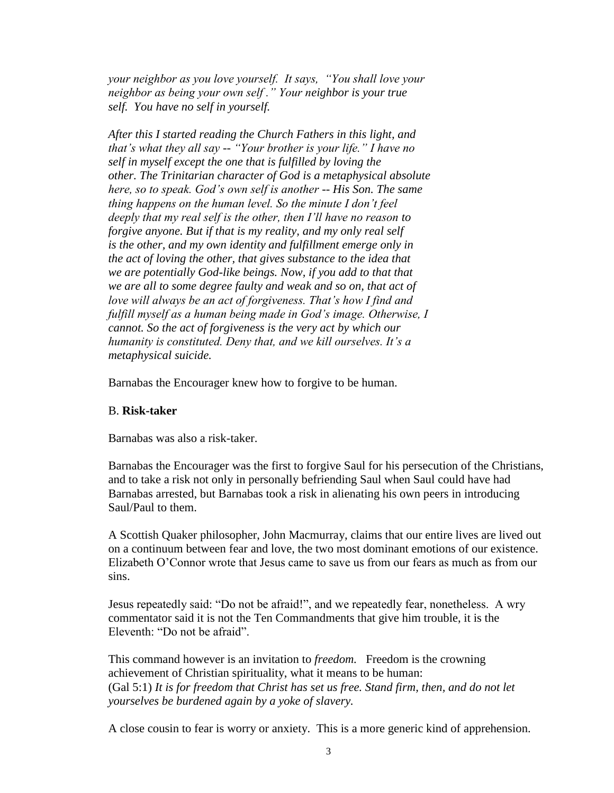*your neighbor as you love yourself. It says, "You shall love your neighbor as being your own self ." Your neighbor is your true self. You have no self in yourself.*

*After this I started reading the Church Fathers in this light, and that's what they all say -- "Your brother is your life." I have no self in myself except the one that is fulfilled by loving the other. The Trinitarian character of God is a metaphysical absolute here, so to speak. God's own self is another -- His Son. The same thing happens on the human level. So the minute I don't feel deeply that my real self is the other, then I'll have no reason to forgive anyone. But if that is my reality, and my only real self is the other, and my own identity and fulfillment emerge only in the act of loving the other, that gives substance to the idea that we are potentially God-like beings. Now, if you add to that that we are all to some degree faulty and weak and so on, that act of love will always be an act of forgiveness. That's how I find and fulfill myself as a human being made in God's image. Otherwise, I cannot. So the act of forgiveness is the very act by which our humanity is constituted. Deny that, and we kill ourselves. It's a metaphysical suicide.*

Barnabas the Encourager knew how to forgive to be human.

### B. **Risk-taker**

Barnabas was also a risk-taker.

Barnabas the Encourager was the first to forgive Saul for his persecution of the Christians, and to take a risk not only in personally befriending Saul when Saul could have had Barnabas arrested, but Barnabas took a risk in alienating his own peers in introducing Saul/Paul to them.

A Scottish Quaker philosopher, John Macmurray, claims that our entire lives are lived out on a continuum between fear and love, the two most dominant emotions of our existence. Elizabeth O'Connor wrote that Jesus came to save us from our fears as much as from our sins.

Jesus repeatedly said: "Do not be afraid!", and we repeatedly fear, nonetheless. A wry commentator said it is not the Ten Commandments that give him trouble, it is the Eleventh: "Do not be afraid".

This command however is an invitation to *freedom.* Freedom is the crowning achievement of Christian spirituality, what it means to be human: (Gal 5:1) *It is for freedom that Christ has set us free. Stand firm, then, and do not let yourselves be burdened again by a yoke of slavery.*

A close cousin to fear is worry or anxiety. This is a more generic kind of apprehension.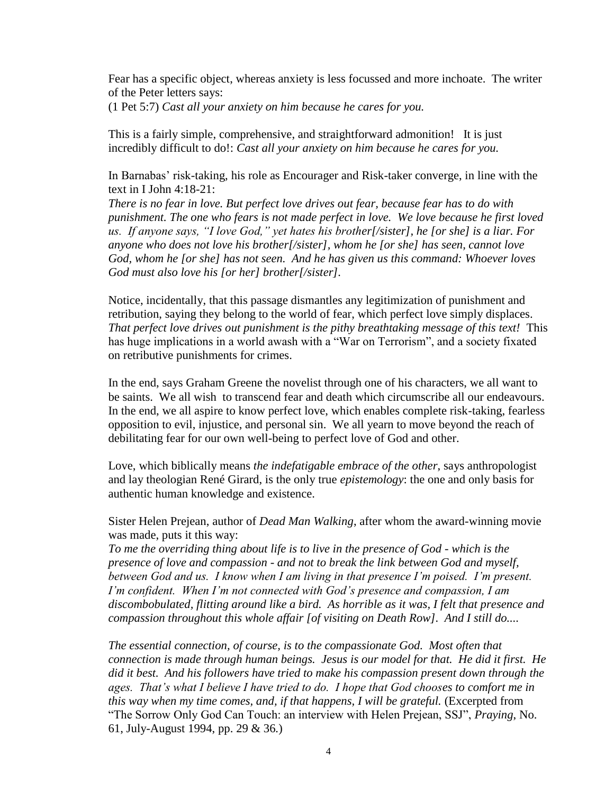Fear has a specific object, whereas anxiety is less focussed and more inchoate. The writer of the Peter letters says:

(1 Pet 5:7) *Cast all your anxiety on him because he cares for you.*

This is a fairly simple, comprehensive, and straightforward admonition! It is just incredibly difficult to do!: *Cast all your anxiety on him because he cares for you.*

In Barnabas' risk-taking, his role as Encourager and Risk-taker converge, in line with the text in I John 4:18-21:

*There is no fear in love. But perfect love drives out fear, because fear has to do with punishment. The one who fears is not made perfect in love. We love because he first loved us. If anyone says, "I love God," yet hates his brother[/sister], he [or she] is a liar. For anyone who does not love his brother[/sister], whom he [or she] has seen, cannot love God, whom he [or she] has not seen. And he has given us this command: Whoever loves God must also love his [or her] brother[/sister].*

Notice, incidentally, that this passage dismantles any legitimization of punishment and retribution, saying they belong to the world of fear, which perfect love simply displaces. *That perfect love drives out punishment is the pithy breathtaking message of this text!* This has huge implications in a world awash with a "War on Terrorism", and a society fixated on retributive punishments for crimes.

In the end, says Graham Greene the novelist through one of his characters, we all want to be saints. We all wish to transcend fear and death which circumscribe all our endeavours. In the end, we all aspire to know perfect love, which enables complete risk-taking, fearless opposition to evil, injustice, and personal sin. We all yearn to move beyond the reach of debilitating fear for our own well-being to perfect love of God and other.

Love, which biblically means *the indefatigable embrace of the other*, says anthropologist and lay theologian René Girard, is the only true *epistemology*: the one and only basis for authentic human knowledge and existence.

Sister Helen Prejean, author of *Dead Man Walking*, after whom the award-winning movie was made, puts it this way:

*To me the overriding thing about life is to live in the presence of God - which is the presence of love and compassion - and not to break the link between God and myself, between God and us. I know when I am living in that presence I'm poised. I'm present. I'm confident. When I'm not connected with God's presence and compassion, I am discombobulated, flitting around like a bird. As horrible as it was, I felt that presence and compassion throughout this whole affair [of visiting on Death Row]. And I still do....*

*The essential connection, of course, is to the compassionate God. Most often that connection is made through human beings. Jesus is our model for that. He did it first. He did it best. And his followers have tried to make his compassion present down through the ages. That's what I believe I have tried to do. I hope that God chooses to comfort me in this way when my time comes, and, if that happens, I will be grateful.* (Excerpted from "The Sorrow Only God Can Touch: an interview with Helen Prejean, SSJ", *Praying*, No. 61, July-August 1994, pp. 29 & 36*.*)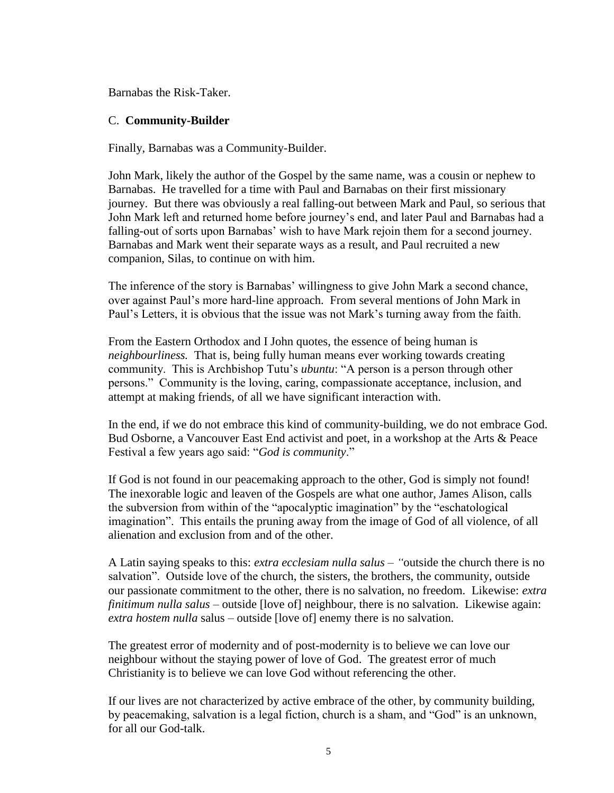Barnabas the Risk-Taker.

# C. **Community-Builder**

Finally, Barnabas was a Community-Builder.

John Mark, likely the author of the Gospel by the same name, was a cousin or nephew to Barnabas. He travelled for a time with Paul and Barnabas on their first missionary journey. But there was obviously a real falling-out between Mark and Paul, so serious that John Mark left and returned home before journey's end, and later Paul and Barnabas had a falling-out of sorts upon Barnabas' wish to have Mark rejoin them for a second journey. Barnabas and Mark went their separate ways as a result, and Paul recruited a new companion, Silas, to continue on with him.

The inference of the story is Barnabas' willingness to give John Mark a second chance, over against Paul's more hard-line approach. From several mentions of John Mark in Paul's Letters, it is obvious that the issue was not Mark's turning away from the faith.

From the Eastern Orthodox and I John quotes, the essence of being human is *neighbourliness.* That is, being fully human means ever working towards creating community. This is Archbishop Tutu's *ubuntu*: "A person is a person through other persons." Community is the loving, caring, compassionate acceptance, inclusion, and attempt at making friends, of all we have significant interaction with.

In the end, if we do not embrace this kind of community-building, we do not embrace God. Bud Osborne, a Vancouver East End activist and poet, in a workshop at the Arts & Peace Festival a few years ago said: "*God is community*."

If God is not found in our peacemaking approach to the other, God is simply not found! The inexorable logic and leaven of the Gospels are what one author, James Alison, calls the subversion from within of the "apocalyptic imagination" by the "eschatological imagination". This entails the pruning away from the image of God of all violence, of all alienation and exclusion from and of the other.

A Latin saying speaks to this: *extra ecclesiam nulla salus – "*outside the church there is no salvation". Outside love of the church, the sisters, the brothers, the community, outside our passionate commitment to the other, there is no salvation, no freedom. Likewise: *extra finitimum nulla salus* – outside [love of] neighbour, there is no salvation. Likewise again: *extra hostem nulla* salus – outside [love of] enemy there is no salvation.

The greatest error of modernity and of post-modernity is to believe we can love our neighbour without the staying power of love of God. The greatest error of much Christianity is to believe we can love God without referencing the other.

If our lives are not characterized by active embrace of the other, by community building, by peacemaking, salvation is a legal fiction, church is a sham, and "God" is an unknown, for all our God-talk.